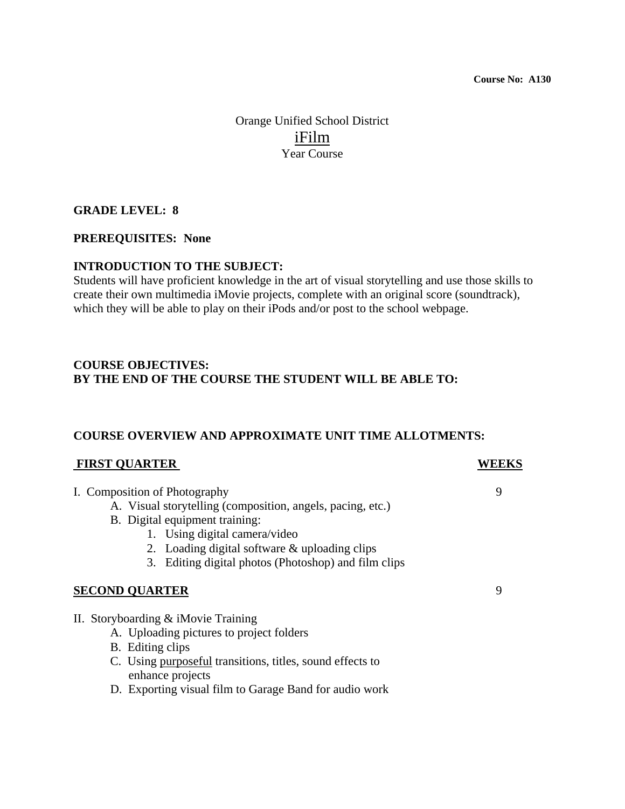Orange Unified School District iFilm Year Course

## **GRADE LEVEL: 8**

#### **PREREQUISITES: None**

## **INTRODUCTION TO THE SUBJECT:**

Students will have proficient knowledge in the art of visual storytelling and use those skills to create their own multimedia iMovie projects, complete with an original score (soundtrack), which they will be able to play on their iPods and/or post to the school webpage.

## **COURSE OBJECTIVES: BY THE END OF THE COURSE THE STUDENT WILL BE ABLE TO:**

## **COURSE OVERVIEW AND APPROXIMATE UNIT TIME ALLOTMENTS:**

#### **FIRST QUARTER** WEEKS

- I. Composition of Photography 9
	- A. Visual storytelling (composition, angels, pacing, etc.)
	- B. Digital equipment training:
		- 1. Using digital camera/video
			- 2. Loading digital software & uploading clips
		- 3. Editing digital photos (Photoshop) and film clips

## **SECOND QUARTER** 9

- II. Storyboarding & iMovie Training
	- A. Uploading pictures to project folders
	- B. Editing clips
	- C. Using purposeful transitions, titles, sound effects to enhance projects
	- D. Exporting visual film to Garage Band for audio work